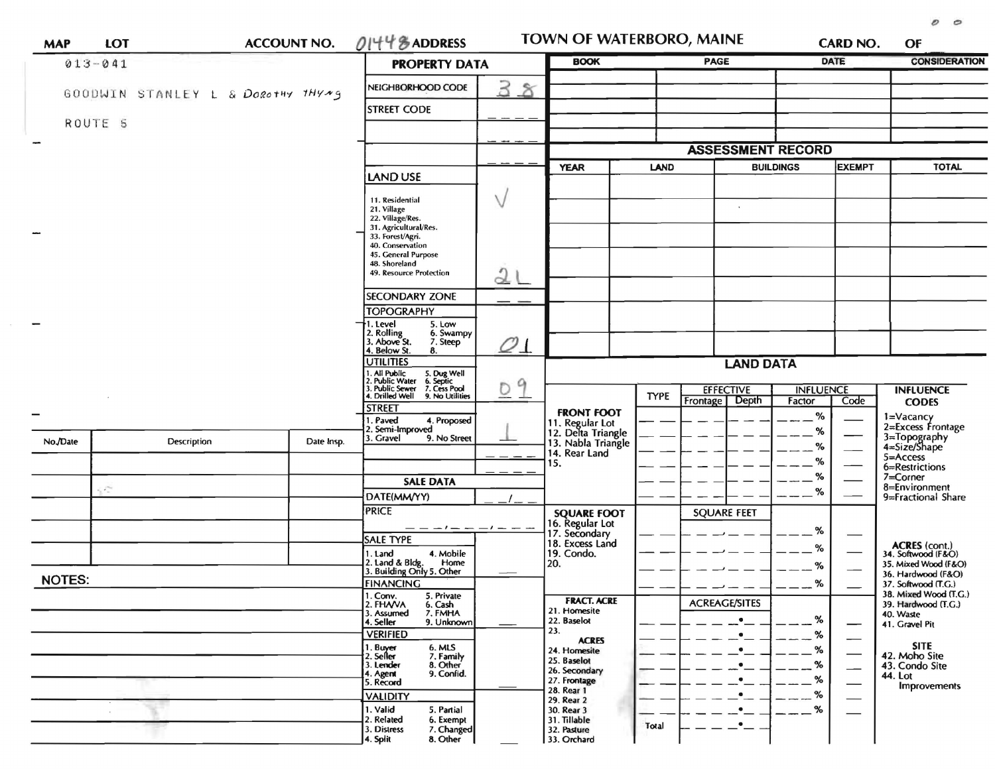| <b>MAP</b>    | LOT         |  |                                   | <b>ACCOUNT NO.</b>                                                                                                  | $01448$ ADDRESS                                                                                              |                   | TOWN OF WATERBORO, MAINE                                                            |                                       |                            |                          | CARD NO.         | OF                                                                                           |
|---------------|-------------|--|-----------------------------------|---------------------------------------------------------------------------------------------------------------------|--------------------------------------------------------------------------------------------------------------|-------------------|-------------------------------------------------------------------------------------|---------------------------------------|----------------------------|--------------------------|------------------|----------------------------------------------------------------------------------------------|
|               | $013 - 041$ |  |                                   |                                                                                                                     | <b>PROPERTY DATA</b>                                                                                         |                   | <b>BOOK</b>                                                                         |                                       | PAGE                       |                          | <b>DATE</b>      |                                                                                              |
|               |             |  | GOODWIN STANLEY L & Dorothy THYMS |                                                                                                                     | NEIGHBORHOOD CODE                                                                                            | 3<br>$\delta$     |                                                                                     |                                       |                            |                          |                  |                                                                                              |
|               |             |  |                                   |                                                                                                                     | <b>STREET CODE</b>                                                                                           |                   |                                                                                     |                                       |                            |                          |                  |                                                                                              |
|               | ROUTE 5     |  |                                   |                                                                                                                     |                                                                                                              |                   |                                                                                     |                                       |                            |                          |                  |                                                                                              |
|               |             |  |                                   |                                                                                                                     |                                                                                                              |                   |                                                                                     |                                       |                            | <b>ASSESSMENT RECORD</b> |                  |                                                                                              |
|               |             |  |                                   |                                                                                                                     | LAND USE                                                                                                     |                   | <b>YEAR</b>                                                                         | <b>LAND</b>                           |                            | <b>BUILDINGS</b>         |                  | <b>TOTAL</b>                                                                                 |
|               |             |  |                                   | 11. Residential<br>21. Village<br>22. Village/Res.<br>31. Agricultural/Res.<br>33. Forest/Agri.                     |                                                                                                              |                   |                                                                                     | $\mathcal{C}$                         |                            |                          |                  |                                                                                              |
|               |             |  |                                   |                                                                                                                     | 40. Conservation<br>45. General Purpose<br>48. Shoreland<br>49. Resource Protection<br><b>SECONDARY ZONE</b> | 2                 |                                                                                     |                                       |                            |                          |                  |                                                                                              |
|               |             |  |                                   |                                                                                                                     | <b>TOPOGRAPHY</b>                                                                                            |                   |                                                                                     |                                       |                            |                          |                  |                                                                                              |
|               |             |  |                                   |                                                                                                                     | 1. Level<br>5. Low<br>2. Rolling<br>3. Above St.<br>6. Swampy<br>7. Steep<br>4. Below St.<br>8.              | $\mathcal{O}\bot$ |                                                                                     |                                       |                            |                          |                  |                                                                                              |
|               |             |  |                                   | <b>UTILITIES</b><br>. All Public                                                                                    |                                                                                                              | <b>LAND DATA</b>  |                                                                                     |                                       |                            |                          |                  |                                                                                              |
|               |             |  |                                   | 5. Dug Well<br>6. Septic<br>7. Cess Pool<br>. Public Water<br>3. Public Sewer<br>4. Drilled Well<br>9. No Utilities | 9<br>$\circ$                                                                                                 |                   | <b>TYPE</b>                                                                         | <b>EFFECTIVE</b><br>Frontage<br>Depth | <b>INFLUENCE</b><br>Factor | Code                     | <b>INFLUENCE</b> |                                                                                              |
|               |             |  |                                   |                                                                                                                     | <b>STREET</b><br>. Paved<br>4. Proposed                                                                      |                   | <b>FRONT FOOT</b>                                                                   |                                       |                            | %                        |                  | <b>CODES</b>                                                                                 |
| No./Date      |             |  | <b>Description</b><br>Date Insp.  |                                                                                                                     | 2. Semi-Improved<br>3. Gravel<br>9. No Street                                                                |                   | 11. Regular Lot<br>12. Delta Triangle<br>13. Nabla Triangle<br>14. Rear Land<br>15. |                                       |                            | $\%$<br>$\%$<br>%        |                  | 1=Vacancy<br>2=Excess Frontage<br>3=Topography<br>4=Size/Shape<br>5=Access<br>6=Restrictions |
|               | J.          |  |                                   |                                                                                                                     | <b>SALE DATA</b>                                                                                             |                   |                                                                                     |                                       |                            | $\%$<br>$\%$             |                  | $7 = Correct$ Corner<br>8=Environment                                                        |
|               |             |  |                                   |                                                                                                                     | DATE(MM/YY)<br><b>PRICE</b>                                                                                  |                   |                                                                                     |                                       |                            |                          |                  | 9=Fractional Share                                                                           |
|               |             |  |                                   |                                                                                                                     | <b>SALE TYPE</b>                                                                                             | $-1$ $  -1$ $  -$ | <b>SQUARE FOOT</b><br>16. Regular Lot<br>17. Secondary<br>18. Excess Land           |                                       | <b>SQUARE FEET</b>         | %                        |                  |                                                                                              |
|               |             |  |                                   |                                                                                                                     | 4. Mobile<br>1. Land<br>2. Land & Bldg. Home<br>3. Building Only 5. Other<br>Home                            |                   | 19. Condo.<br>20.                                                                   |                                       |                            | %<br>%                   |                  | ACRES (cont.)<br>34. Softwood (F&O)<br>35. Mixed Wood (F&O)<br>36. Hardwood (F&O)            |
| <b>NOTES:</b> |             |  |                                   |                                                                                                                     | <b>FINANCING</b><br>1. Conv.<br>5. Private                                                                   |                   |                                                                                     |                                       |                            | %                        |                  | 37. Softwood (T.G.)<br>38. Mixed Wood (T.G.)                                                 |
|               |             |  |                                   |                                                                                                                     | 2. FHANA<br>6. Cash<br>7. FMHA<br>3. Assumed<br>4. Seller<br>9. Unknown<br><b>VERIFIED</b>                   |                   | <b>FRACT. ACRE</b><br>21. Homesite<br>22. Baselot<br>23.                            |                                       | <b>ACREAGE/SITES</b>       | %<br>%                   | —                | 39. Hardwood (T.G.)<br>40. Waste<br>41. Gravel Pit                                           |
|               |             |  |                                   |                                                                                                                     | 1. Buyer<br>$6.$ MLS<br>7. Family<br>2. Seller<br>8. Other<br>3. Lender<br>9. Confid.<br>4. Agent            |                   | <b>ACRES</b><br>24. Homesite<br>25. Baselot<br>26. Secondary                        |                                       |                            | %<br>%                   |                  | <b>SITE</b><br>42. Moho Site<br>43. Condo Site<br>44. Lot                                    |
|               |             |  |                                   |                                                                                                                     | 5. Record<br><b>VALIDITY</b>                                                                                 |                   | 27. Frontage<br>28. Rear 1<br>29. Rear 2                                            |                                       |                            | %<br>%                   |                  | Improvements                                                                                 |
|               |             |  |                                   |                                                                                                                     | 1. Valid<br>5. Partial<br>2. Related<br>6. Exempt<br>3. Distress<br>7. Changed<br>4. Split<br>8. Other       |                   | 30. Rear 3<br>31. Tillable<br>32. Pasture<br>33. Orchard                            | Total                                 | ٠                          | $\%$                     |                  |                                                                                              |